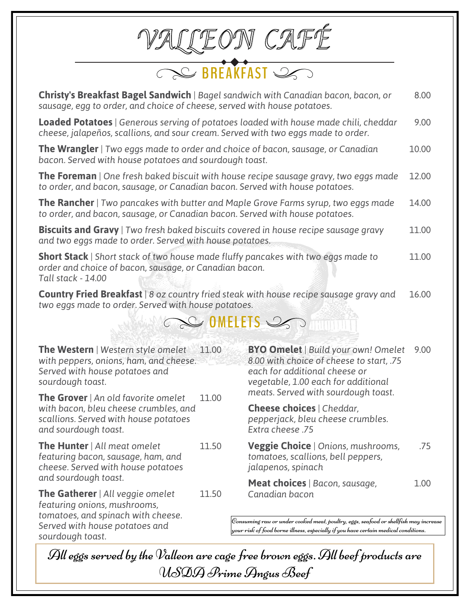|          |                                                                                                                                                                          |       | $\subseteq$ BREAKFAST $\subseteq$                                                                                                                                                                                                          |       |  |
|----------|--------------------------------------------------------------------------------------------------------------------------------------------------------------------------|-------|--------------------------------------------------------------------------------------------------------------------------------------------------------------------------------------------------------------------------------------------|-------|--|
|          | sausage, egg to order, and choice of cheese, served with house potatoes.                                                                                                 |       | <b>Christy's Breakfast Bagel Sandwich</b>   Bagel sandwich with Canadian bacon, bacon, or                                                                                                                                                  | 8.00  |  |
|          | cheese, jalapeños, scallions, and sour cream. Served with two eggs made to order.                                                                                        |       | <b>Loaded Potatoes</b>   Generous serving of potatoes loaded with house made chili, cheddar                                                                                                                                                | 9.00  |  |
|          | <b>The Wrangler</b>   Two eggs made to order and choice of bacon, sausage, or Canadian<br>bacon. Served with house potatoes and sourdough toast.                         |       |                                                                                                                                                                                                                                            | 10.00 |  |
|          | to order, and bacon, sausage, or Canadian bacon. Served with house potatoes.                                                                                             |       | <b>The Foreman</b>   One fresh baked biscuit with house recipe sausage gravy, two eggs made                                                                                                                                                | 12.00 |  |
|          | to order, and bacon, sausage, or Canadian bacon. Served with house potatoes.                                                                                             |       | <b>The Rancher</b>   Two pancakes with butter and Maple Grove Farms syrup, two eggs made                                                                                                                                                   | 14.00 |  |
|          | <b>Biscuits and Gravy</b>   Two fresh baked biscuits covered in house recipe sausage gravy<br>and two eggs made to order. Served with house potatoes.                    |       |                                                                                                                                                                                                                                            | 11.00 |  |
|          | <b>Short Stack</b>   Short stack of two house made fluffy pancakes with two eggs made to<br>order and choice of bacon, sausage, or Canadian bacon.<br>Tall stack - 14.00 |       |                                                                                                                                                                                                                                            | 11.00 |  |
|          | two eggs made to order. Served with house potatoes.                                                                                                                      |       | <b>Country Fried Breakfast</b>   8 oz country fried steak with house recipe sausage gravy and                                                                                                                                              | 16.00 |  |
| COMELETS |                                                                                                                                                                          |       |                                                                                                                                                                                                                                            |       |  |
|          | <b>The Western</b>   Western style omelet<br>with peppers, onions, ham, and cheese.<br>Served with house potatoes and<br>sourdough toast.                                | 11.00 | <b>BYO Omelet</b>   Build your own! Omelet<br>8.00 with choice of cheese to start, .75<br>each for additional cheese or<br>vegetable, 1.00 each for additional<br>meats. Served with sourdough toast.                                      | 9.00  |  |
|          | The Grover   An old favorite omelet<br>with bacon, bleu cheese crumbles, and<br>scallions. Served with house potatoes<br>and sourdough toast.                            | 11.00 | <b>Cheese choices</b>   Cheddar,<br>pepperjack, bleu cheese crumbles.<br>Extra cheese .75                                                                                                                                                  |       |  |
|          | <b>The Hunter</b>   All meat omelet<br>featuring bacon, sausage, ham, and<br>cheese. Served with house potatoes<br>and sourdough toast.                                  | 11.50 | <b>Veggie Choice</b>   Onions, mushrooms,<br>tomatoes, scallions, bell peppers,<br>jalapenos, spinach                                                                                                                                      | .75   |  |
|          | <b>The Gatherer</b>   All veggie omelet<br>featuring onions, mushrooms,<br>tomatoes, and spinach with cheese.<br>Served with house potatoes and<br>sourdough toast.      | 11.50 | <b>Meat choices</b>   Bacon, sausage,<br>Canadian bacon<br>Consuming raw or under cooked meat, poultry, eggs, seafood or shellfish may increase<br>$ $ your risk of food borne illness, especially if you have certain medical conditions. | 1.00  |  |

All eggs served by the  $\mathcal V$ alleon are cage free brown eggs. All beef products are USDA Prime Angus Beef